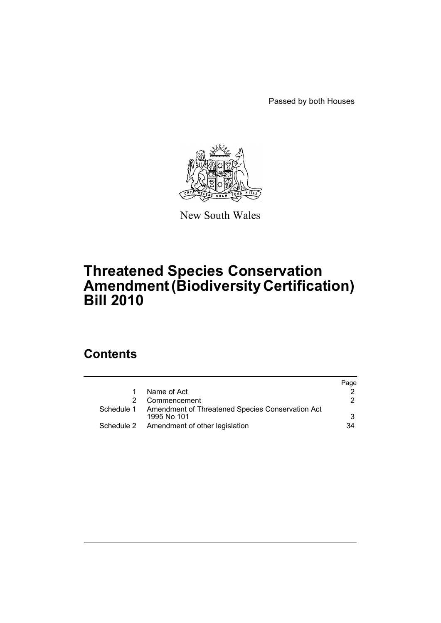Passed by both Houses



New South Wales

# **Threatened Species Conservation Amendment (Biodiversity Certification) Bill 2010**

# **Contents**

|                                                                            | Page |
|----------------------------------------------------------------------------|------|
| Name of Act                                                                |      |
| Commencement                                                               | 2    |
| Schedule 1 Amendment of Threatened Species Conservation Act<br>1995 No 101 | 3    |
| Schedule 2 Amendment of other legislation                                  | 34   |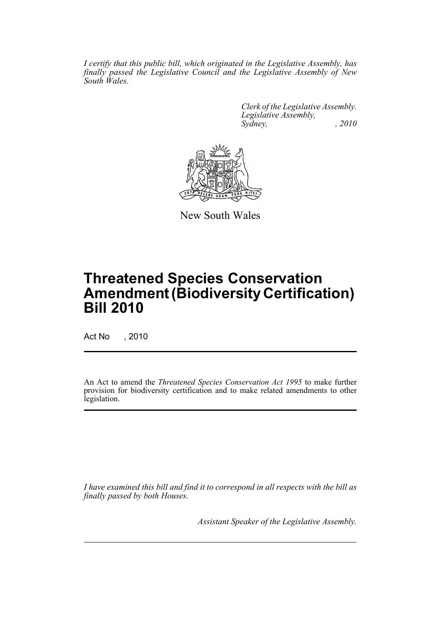*I certify that this public bill, which originated in the Legislative Assembly, has finally passed the Legislative Council and the Legislative Assembly of New South Wales.*

> *Clerk of the Legislative Assembly. Legislative Assembly, Sydney, , 2010*



New South Wales

# **Threatened Species Conservation Amendment (Biodiversity Certification) Bill 2010**

Act No , 2010

An Act to amend the *Threatened Species Conservation Act 1995* to make further provision for biodiversity certification and to make related amendments to other legislation.

*I have examined this bill and find it to correspond in all respects with the bill as finally passed by both Houses.*

*Assistant Speaker of the Legislative Assembly.*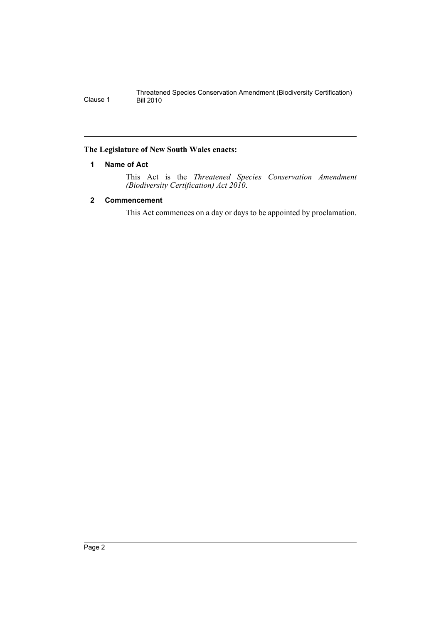# <span id="page-2-0"></span>**The Legislature of New South Wales enacts:**

# **1 Name of Act**

This Act is the *Threatened Species Conservation Amendment (Biodiversity Certification) Act 2010*.

# <span id="page-2-1"></span>**2 Commencement**

This Act commences on a day or days to be appointed by proclamation.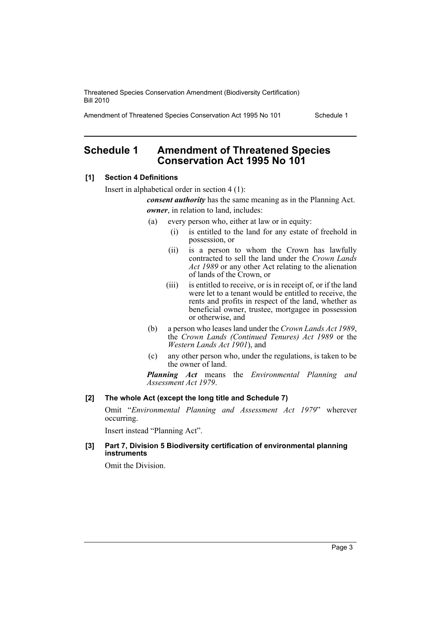Amendment of Threatened Species Conservation Act 1995 No 101 Schedule 1

# <span id="page-3-0"></span>**Schedule 1 Amendment of Threatened Species Conservation Act 1995 No 101**

# **[1] Section 4 Definitions**

Insert in alphabetical order in section 4 (1):

*consent authority* has the same meaning as in the Planning Act. *owner*, in relation to land, includes:

- (a) every person who, either at law or in equity:
	- (i) is entitled to the land for any estate of freehold in possession, or
	- (ii) is a person to whom the Crown has lawfully contracted to sell the land under the *Crown Lands Act 1989* or any other Act relating to the alienation of lands of the Crown, or
	- (iii) is entitled to receive, or is in receipt of, or if the land were let to a tenant would be entitled to receive, the rents and profits in respect of the land, whether as beneficial owner, trustee, mortgagee in possession or otherwise, and
- (b) a person who leases land under the *Crown Lands Act 1989*, the *Crown Lands (Continued Tenures) Act 1989* or the *Western Lands Act 1901*), and
- (c) any other person who, under the regulations, is taken to be the owner of land.

*Planning Act* means the *Environmental Planning and Assessment Act 1979*.

# **[2] The whole Act (except the long title and Schedule 7)**

Omit "*Environmental Planning and Assessment Act 1979*" wherever occurring.

Insert instead "Planning Act".

### **[3] Part 7, Division 5 Biodiversity certification of environmental planning instruments**

Omit the Division.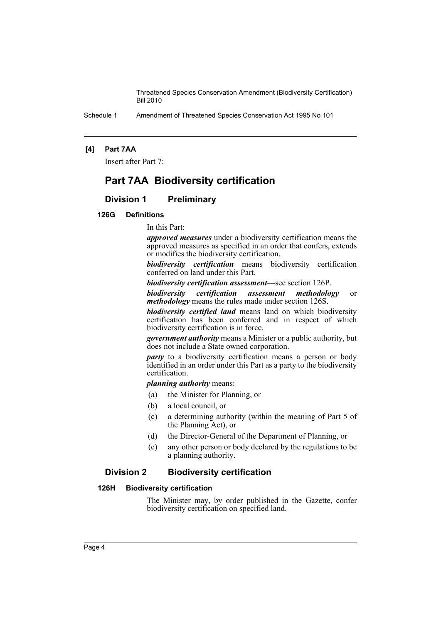Schedule 1 Amendment of Threatened Species Conservation Act 1995 No 101

# **[4] Part 7AA**

Insert after Part 7:

# **Part 7AA Biodiversity certification**

# **Division 1 Preliminary**

## **126G Definitions**

In this Part:

*approved measures* under a biodiversity certification means the approved measures as specified in an order that confers, extends or modifies the biodiversity certification.

*biodiversity certification* means biodiversity certification conferred on land under this Part.

*biodiversity certification assessment*—see section 126P.

*biodiversity certification assessment methodology* or *methodology* means the rules made under section 126S.

*biodiversity certified land* means land on which biodiversity certification has been conferred and in respect of which biodiversity certification is in force.

*government authority* means a Minister or a public authority, but does not include a State owned corporation.

*party* to a biodiversity certification means a person or body identified in an order under this Part as a party to the biodiversity certification.

#### *planning authority* means:

- (a) the Minister for Planning, or
- (b) a local council, or
- (c) a determining authority (within the meaning of Part 5 of the Planning Act), or
- (d) the Director-General of the Department of Planning, or
- (e) any other person or body declared by the regulations to be a planning authority.

# **Division 2 Biodiversity certification**

#### **126H Biodiversity certification**

The Minister may, by order published in the Gazette, confer biodiversity certification on specified land.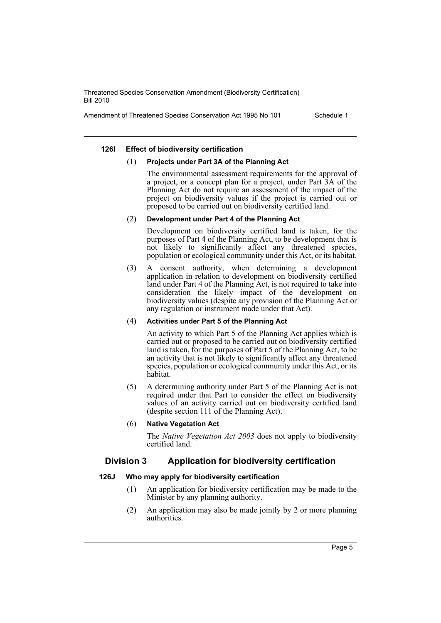Amendment of Threatened Species Conservation Act 1995 No 101 Schedule 1

# **126I Effect of biodiversity certification**

#### (1) **Projects under Part 3A of the Planning Act**

The environmental assessment requirements for the approval of a project, or a concept plan for a project, under Part 3A of the Planning Act do not require an assessment of the impact of the project on biodiversity values if the project is carried out or proposed to be carried out on biodiversity certified land.

# (2) **Development under Part 4 of the Planning Act**

Development on biodiversity certified land is taken, for the purposes of Part 4 of the Planning Act, to be development that is not likely to significantly affect any threatened species, population or ecological community under this Act, or its habitat.

(3) A consent authority, when determining a development application in relation to development on biodiversity certified land under Part 4 of the Planning Act, is not required to take into consideration the likely impact of the development on biodiversity values (despite any provision of the Planning Act or any regulation or instrument made under that Act).

# (4) **Activities under Part 5 of the Planning Act**

An activity to which Part 5 of the Planning Act applies which is carried out or proposed to be carried out on biodiversity certified land is taken, for the purposes of Part 5 of the Planning Act, to be an activity that is not likely to significantly affect any threatened species, population or ecological community under this Act, or its habitat.

(5) A determining authority under Part 5 of the Planning Act is not required under that Part to consider the effect on biodiversity values of an activity carried out on biodiversity certified land (despite section 111 of the Planning Act).

# (6) **Native Vegetation Act**

The *Native Vegetation Act 2003* does not apply to biodiversity certified land.

# **Division 3 Application for biodiversity certification**

# **126J Who may apply for biodiversity certification**

- (1) An application for biodiversity certification may be made to the Minister by any planning authority.
- (2) An application may also be made jointly by 2 or more planning authorities.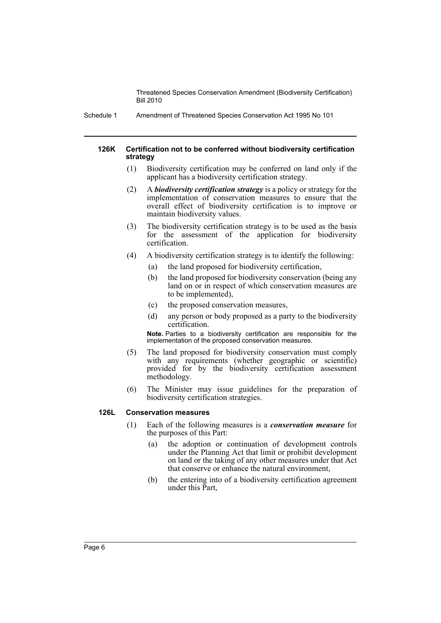Schedule 1 Amendment of Threatened Species Conservation Act 1995 No 101

#### **126K Certification not to be conferred without biodiversity certification strategy**

- (1) Biodiversity certification may be conferred on land only if the applicant has a biodiversity certification strategy.
- (2) A *biodiversity certification strategy* is a policy or strategy for the implementation of conservation measures to ensure that the overall effect of biodiversity certification is to improve or maintain biodiversity values.
- (3) The biodiversity certification strategy is to be used as the basis for the assessment of the application for biodiversity certification.
- (4) A biodiversity certification strategy is to identify the following:
	- (a) the land proposed for biodiversity certification,
	- (b) the land proposed for biodiversity conservation (being any land on or in respect of which conservation measures are to be implemented),
	- (c) the proposed conservation measures,
	- (d) any person or body proposed as a party to the biodiversity certification.

**Note.** Parties to a biodiversity certification are responsible for the implementation of the proposed conservation measures.

- (5) The land proposed for biodiversity conservation must comply with any requirements (whether geographic or scientific) provided for by the biodiversity certification assessment methodology.
- (6) The Minister may issue guidelines for the preparation of biodiversity certification strategies.

# **126L Conservation measures**

- (1) Each of the following measures is a *conservation measure* for the purposes of this Part:
	- (a) the adoption or continuation of development controls under the Planning Act that limit or prohibit development on land or the taking of any other measures under that Act that conserve or enhance the natural environment,
	- (b) the entering into of a biodiversity certification agreement under this Part,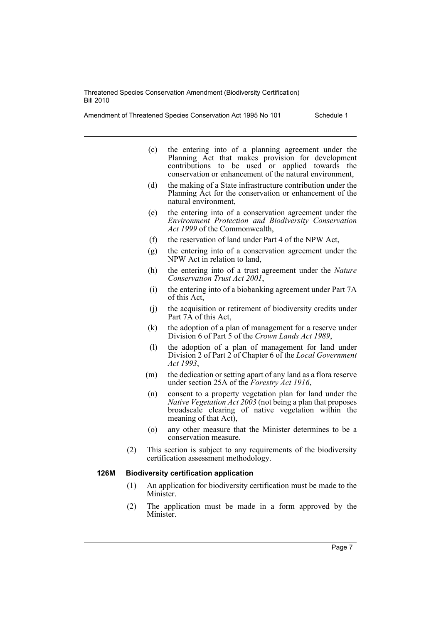Amendment of Threatened Species Conservation Act 1995 No 101 Schedule 1

- (c) the entering into of a planning agreement under the Planning Act that makes provision for development contributions to be used or applied towards the conservation or enhancement of the natural environment,
- (d) the making of a State infrastructure contribution under the Planning Act for the conservation or enhancement of the natural environment,
- (e) the entering into of a conservation agreement under the *Environment Protection and Biodiversity Conservation Act 1999* of the Commonwealth,
- (f) the reservation of land under Part 4 of the NPW Act,
- (g) the entering into of a conservation agreement under the NPW Act in relation to land,
- (h) the entering into of a trust agreement under the *Nature Conservation Trust Act 2001*,
- (i) the entering into of a biobanking agreement under Part 7A of this Act,
- (j) the acquisition or retirement of biodiversity credits under Part 7A of this Act,
- (k) the adoption of a plan of management for a reserve under Division 6 of Part 5 of the *Crown Lands Act 1989*,
- (l) the adoption of a plan of management for land under Division 2 of Part 2 of Chapter 6 of the *Local Government Act 1993*,
- (m) the dedication or setting apart of any land as a flora reserve under section 25A of the *Forestry Act 1916*,
- (n) consent to a property vegetation plan for land under the *Native Vegetation Act 2003* (not being a plan that proposes broadscale clearing of native vegetation within the meaning of that Act),
- (o) any other measure that the Minister determines to be a conservation measure.
- (2) This section is subject to any requirements of the biodiversity certification assessment methodology.

#### **126M Biodiversity certification application**

- (1) An application for biodiversity certification must be made to the Minister.
- (2) The application must be made in a form approved by the Minister.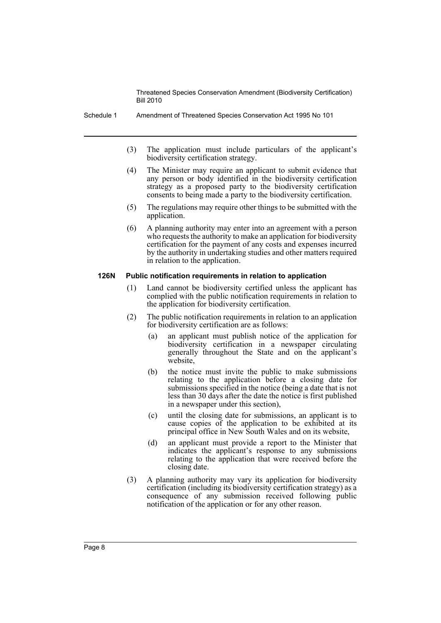Schedule 1 Amendment of Threatened Species Conservation Act 1995 No 101

- (3) The application must include particulars of the applicant's biodiversity certification strategy.
- (4) The Minister may require an applicant to submit evidence that any person or body identified in the biodiversity certification strategy as a proposed party to the biodiversity certification consents to being made a party to the biodiversity certification.
- (5) The regulations may require other things to be submitted with the application.
- (6) A planning authority may enter into an agreement with a person who requests the authority to make an application for biodiversity certification for the payment of any costs and expenses incurred by the authority in undertaking studies and other matters required in relation to the application.

#### **126N Public notification requirements in relation to application**

- (1) Land cannot be biodiversity certified unless the applicant has complied with the public notification requirements in relation to the application for biodiversity certification.
- (2) The public notification requirements in relation to an application for biodiversity certification are as follows:
	- (a) an applicant must publish notice of the application for biodiversity certification in a newspaper circulating generally throughout the State and on the applicant's website,
	- (b) the notice must invite the public to make submissions relating to the application before a closing date for submissions specified in the notice (being a date that is not less than 30 days after the date the notice is first published in a newspaper under this section),
	- (c) until the closing date for submissions, an applicant is to cause copies of the application to be exhibited at its principal office in New South Wales and on its website,
	- (d) an applicant must provide a report to the Minister that indicates the applicant's response to any submissions relating to the application that were received before the closing date.
- (3) A planning authority may vary its application for biodiversity certification (including its biodiversity certification strategy) as a consequence of any submission received following public notification of the application or for any other reason.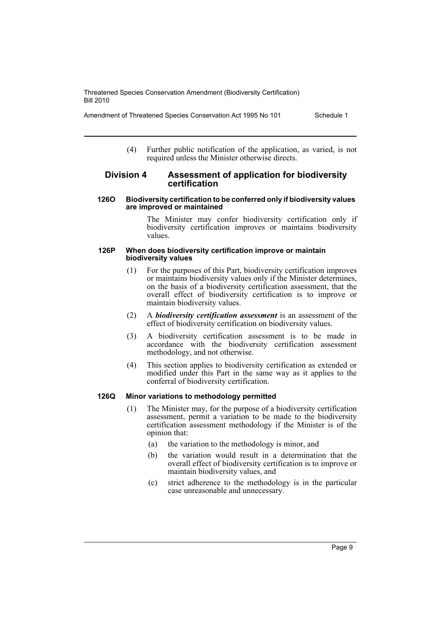(4) Further public notification of the application, as varied, is not required unless the Minister otherwise directs.

# **Division 4 Assessment of application for biodiversity certification**

#### **126O Biodiversity certification to be conferred only if biodiversity values are improved or maintained**

The Minister may confer biodiversity certification only if biodiversity certification improves or maintains biodiversity values.

#### **126P When does biodiversity certification improve or maintain biodiversity values**

- (1) For the purposes of this Part, biodiversity certification improves or maintains biodiversity values only if the Minister determines, on the basis of a biodiversity certification assessment, that the overall effect of biodiversity certification is to improve or maintain biodiversity values.
- (2) A *biodiversity certification assessment* is an assessment of the effect of biodiversity certification on biodiversity values.
- (3) A biodiversity certification assessment is to be made in accordance with the biodiversity certification assessment methodology, and not otherwise.
- (4) This section applies to biodiversity certification as extended or modified under this Part in the same way as it applies to the conferral of biodiversity certification.

#### **126Q Minor variations to methodology permitted**

- (1) The Minister may, for the purpose of a biodiversity certification assessment, permit a variation to be made to the biodiversity certification assessment methodology if the Minister is of the opinion that:
	- (a) the variation to the methodology is minor, and
	- (b) the variation would result in a determination that the overall effect of biodiversity certification is to improve or maintain biodiversity values, and
	- (c) strict adherence to the methodology is in the particular case unreasonable and unnecessary.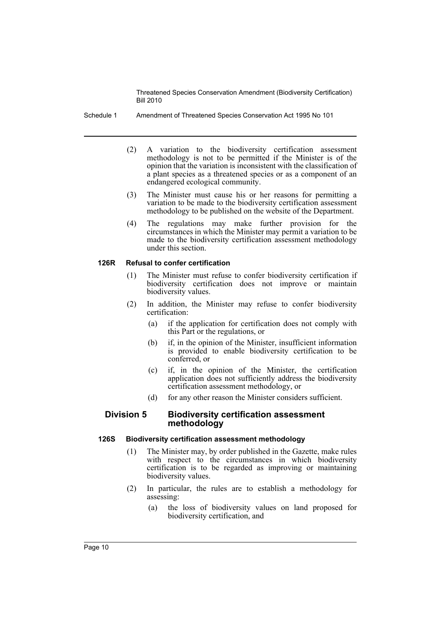Schedule 1 Amendment of Threatened Species Conservation Act 1995 No 101

- (2) A variation to the biodiversity certification assessment methodology is not to be permitted if the Minister is of the opinion that the variation is inconsistent with the classification of a plant species as a threatened species or as a component of an endangered ecological community.
- (3) The Minister must cause his or her reasons for permitting a variation to be made to the biodiversity certification assessment methodology to be published on the website of the Department.
- (4) The regulations may make further provision for the circumstances in which the Minister may permit a variation to be made to the biodiversity certification assessment methodology under this section.

# **126R Refusal to confer certification**

- (1) The Minister must refuse to confer biodiversity certification if biodiversity certification does not improve or maintain biodiversity values.
- (2) In addition, the Minister may refuse to confer biodiversity certification:
	- (a) if the application for certification does not comply with this Part or the regulations, or
	- (b) if, in the opinion of the Minister, insufficient information is provided to enable biodiversity certification to be conferred, or
	- (c) if, in the opinion of the Minister, the certification application does not sufficiently address the biodiversity certification assessment methodology, or
	- (d) for any other reason the Minister considers sufficient.

# **Division 5 Biodiversity certification assessment methodology**

# **126S Biodiversity certification assessment methodology**

- (1) The Minister may, by order published in the Gazette, make rules with respect to the circumstances in which biodiversity certification is to be regarded as improving or maintaining biodiversity values.
- (2) In particular, the rules are to establish a methodology for assessing:
	- (a) the loss of biodiversity values on land proposed for biodiversity certification, and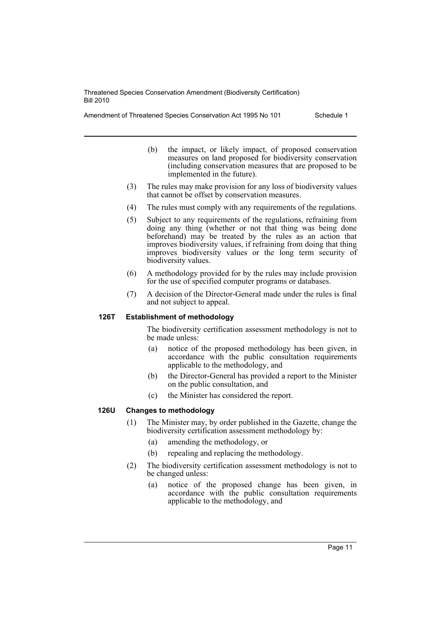Amendment of Threatened Species Conservation Act 1995 No 101 Schedule 1

- (b) the impact, or likely impact, of proposed conservation measures on land proposed for biodiversity conservation (including conservation measures that are proposed to be implemented in the future).
- (3) The rules may make provision for any loss of biodiversity values that cannot be offset by conservation measures.
- (4) The rules must comply with any requirements of the regulations.
- (5) Subject to any requirements of the regulations, refraining from doing any thing (whether or not that thing was being done beforehand) may be treated by the rules as an action that improves biodiversity values, if refraining from doing that thing improves biodiversity values or the long term security of biodiversity values.
- (6) A methodology provided for by the rules may include provision for the use of specified computer programs or databases.
- (7) A decision of the Director-General made under the rules is final and not subject to appeal.

# **126T Establishment of methodology**

The biodiversity certification assessment methodology is not to be made unless:

- (a) notice of the proposed methodology has been given, in accordance with the public consultation requirements applicable to the methodology, and
- (b) the Director-General has provided a report to the Minister on the public consultation, and
- (c) the Minister has considered the report.

# **126U Changes to methodology**

- (1) The Minister may, by order published in the Gazette, change the biodiversity certification assessment methodology by:
	- (a) amending the methodology, or
	- (b) repealing and replacing the methodology.
- (2) The biodiversity certification assessment methodology is not to be changed unless:
	- (a) notice of the proposed change has been given, in accordance with the public consultation requirements applicable to the methodology, and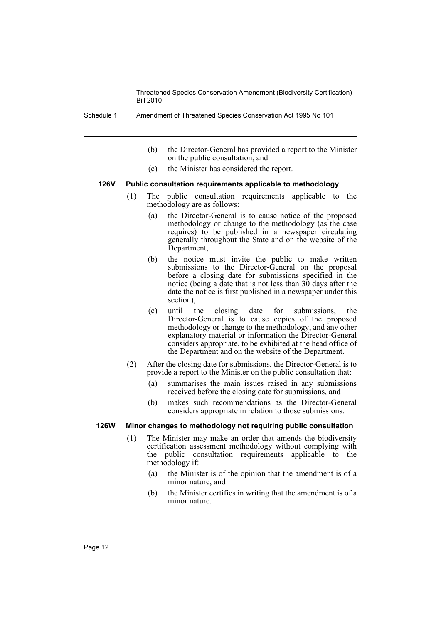Schedule 1 Amendment of Threatened Species Conservation Act 1995 No 101

- (b) the Director-General has provided a report to the Minister on the public consultation, and
- (c) the Minister has considered the report.

# **126V Public consultation requirements applicable to methodology**

- (1) The public consultation requirements applicable to the methodology are as follows:
	- (a) the Director-General is to cause notice of the proposed methodology or change to the methodology (as the case requires) to be published in a newspaper circulating generally throughout the State and on the website of the Department,
	- (b) the notice must invite the public to make written submissions to the Director-General on the proposal before a closing date for submissions specified in the notice (being a date that is not less than 30 days after the date the notice is first published in a newspaper under this section),
	- (c) until the closing date for submissions, the Director-General is to cause copies of the proposed methodology or change to the methodology, and any other explanatory material or information the Director-General considers appropriate, to be exhibited at the head office of the Department and on the website of the Department.
- (2) After the closing date for submissions, the Director-General is to provide a report to the Minister on the public consultation that:
	- (a) summarises the main issues raised in any submissions received before the closing date for submissions, and
	- (b) makes such recommendations as the Director-General considers appropriate in relation to those submissions.

#### **126W Minor changes to methodology not requiring public consultation**

- (1) The Minister may make an order that amends the biodiversity certification assessment methodology without complying with the public consultation requirements applicable to the methodology if:
	- (a) the Minister is of the opinion that the amendment is of a minor nature, and
	- (b) the Minister certifies in writing that the amendment is of a minor nature.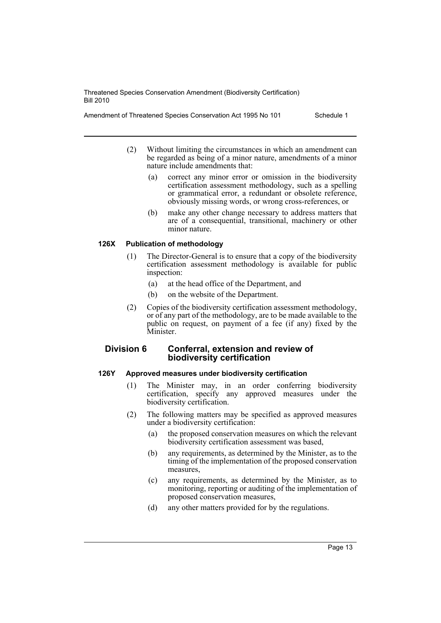- (2) Without limiting the circumstances in which an amendment can be regarded as being of a minor nature, amendments of a minor nature include amendments that:
	- (a) correct any minor error or omission in the biodiversity certification assessment methodology, such as a spelling or grammatical error, a redundant or obsolete reference, obviously missing words, or wrong cross-references, or
	- (b) make any other change necessary to address matters that are of a consequential, transitional, machinery or other minor nature.

# **126X Publication of methodology**

- (1) The Director-General is to ensure that a copy of the biodiversity certification assessment methodology is available for public inspection:
	- (a) at the head office of the Department, and
	- (b) on the website of the Department.
- (2) Copies of the biodiversity certification assessment methodology, or of any part of the methodology, are to be made available to the public on request, on payment of a fee (if any) fixed by the Minister.

# **Division 6 Conferral, extension and review of biodiversity certification**

# **126Y Approved measures under biodiversity certification**

- (1) The Minister may, in an order conferring biodiversity certification, specify any approved measures under the biodiversity certification.
- (2) The following matters may be specified as approved measures under a biodiversity certification:
	- (a) the proposed conservation measures on which the relevant biodiversity certification assessment was based,
	- (b) any requirements, as determined by the Minister, as to the timing of the implementation of the proposed conservation measures,
	- (c) any requirements, as determined by the Minister, as to monitoring, reporting or auditing of the implementation of proposed conservation measures,
	- (d) any other matters provided for by the regulations.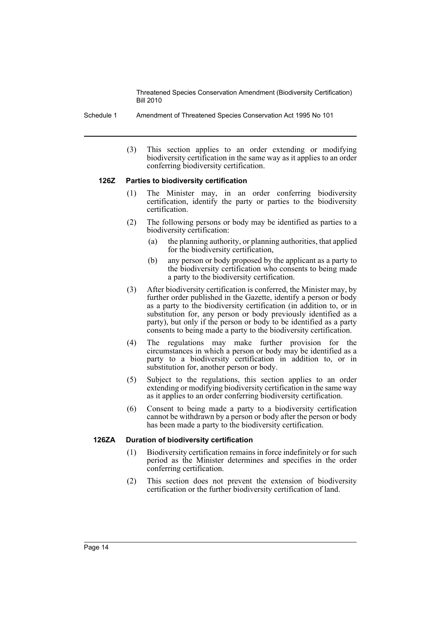Schedule 1 Amendment of Threatened Species Conservation Act 1995 No 101

(3) This section applies to an order extending or modifying biodiversity certification in the same way as it applies to an order conferring biodiversity certification.

# **126Z Parties to biodiversity certification**

- (1) The Minister may, in an order conferring biodiversity certification, identify the party or parties to the biodiversity certification.
- (2) The following persons or body may be identified as parties to a biodiversity certification:
	- (a) the planning authority, or planning authorities, that applied for the biodiversity certification,
	- (b) any person or body proposed by the applicant as a party to the biodiversity certification who consents to being made a party to the biodiversity certification.
- (3) After biodiversity certification is conferred, the Minister may, by further order published in the Gazette, identify a person or body as a party to the biodiversity certification (in addition to, or in substitution for, any person or body previously identified as a party), but only if the person or body to be identified as a party consents to being made a party to the biodiversity certification.
- (4) The regulations may make further provision for the circumstances in which a person or body may be identified as a party to a biodiversity certification in addition to, or in substitution for, another person or body.
- (5) Subject to the regulations, this section applies to an order extending or modifying biodiversity certification in the same way as it applies to an order conferring biodiversity certification.
- (6) Consent to being made a party to a biodiversity certification cannot be withdrawn by a person or body after the person or body has been made a party to the biodiversity certification.

# **126ZA Duration of biodiversity certification**

- (1) Biodiversity certification remains in force indefinitely or for such period as the Minister determines and specifies in the order conferring certification.
- (2) This section does not prevent the extension of biodiversity certification or the further biodiversity certification of land.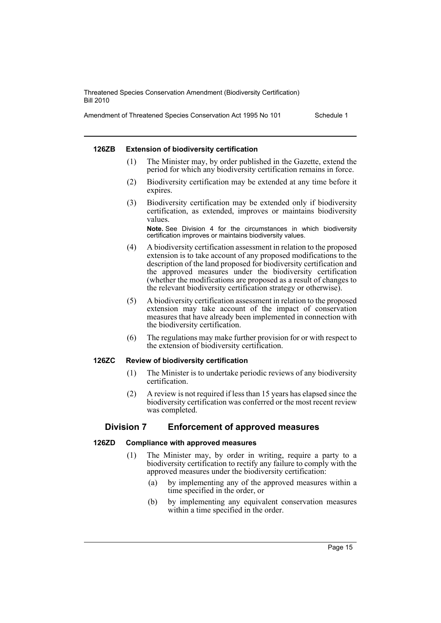Amendment of Threatened Species Conservation Act 1995 No 101 Schedule 1

### **126ZB Extension of biodiversity certification**

- (1) The Minister may, by order published in the Gazette, extend the period for which any biodiversity certification remains in force.
- (2) Biodiversity certification may be extended at any time before it expires.
- (3) Biodiversity certification may be extended only if biodiversity certification, as extended, improves or maintains biodiversity values.

**Note.** See Division 4 for the circumstances in which biodiversity certification improves or maintains biodiversity values.

- (4) A biodiversity certification assessment in relation to the proposed extension is to take account of any proposed modifications to the description of the land proposed for biodiversity certification and the approved measures under the biodiversity certification (whether the modifications are proposed as a result of changes to the relevant biodiversity certification strategy or otherwise).
- (5) A biodiversity certification assessment in relation to the proposed extension may take account of the impact of conservation measures that have already been implemented in connection with the biodiversity certification.
- (6) The regulations may make further provision for or with respect to the extension of biodiversity certification.

# **126ZC Review of biodiversity certification**

- (1) The Minister is to undertake periodic reviews of any biodiversity certification.
- (2) A review is not required if less than 15 years has elapsed since the biodiversity certification was conferred or the most recent review was completed.

# **Division 7 Enforcement of approved measures**

# **126ZD Compliance with approved measures**

- (1) The Minister may, by order in writing, require a party to a biodiversity certification to rectify any failure to comply with the approved measures under the biodiversity certification:
	- (a) by implementing any of the approved measures within a time specified in the order, or
	- (b) by implementing any equivalent conservation measures within a time specified in the order.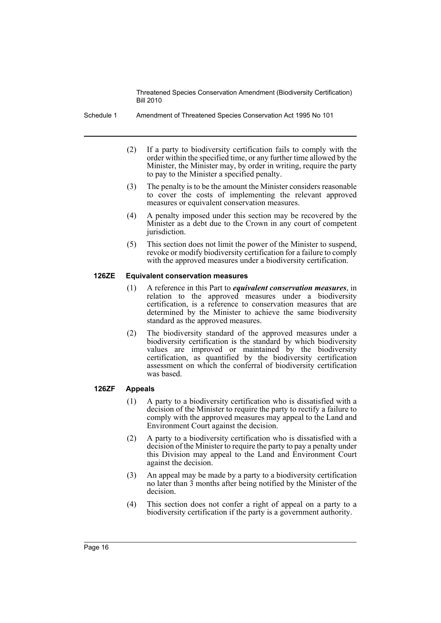Schedule 1 Amendment of Threatened Species Conservation Act 1995 No 101

- (2) If a party to biodiversity certification fails to comply with the order within the specified time, or any further time allowed by the Minister, the Minister may, by order in writing, require the party to pay to the Minister a specified penalty.
- (3) The penalty is to be the amount the Minister considers reasonable to cover the costs of implementing the relevant approved measures or equivalent conservation measures.
- (4) A penalty imposed under this section may be recovered by the Minister as a debt due to the Crown in any court of competent jurisdiction.
- (5) This section does not limit the power of the Minister to suspend, revoke or modify biodiversity certification for a failure to comply with the approved measures under a biodiversity certification.

# **126ZE Equivalent conservation measures**

- (1) A reference in this Part to *equivalent conservation measures*, in relation to the approved measures under a biodiversity certification, is a reference to conservation measures that are determined by the Minister to achieve the same biodiversity standard as the approved measures.
- (2) The biodiversity standard of the approved measures under a biodiversity certification is the standard by which biodiversity values are improved or maintained by the biodiversity certification, as quantified by the biodiversity certification assessment on which the conferral of biodiversity certification was based.

# **126ZF Appeals**

- (1) A party to a biodiversity certification who is dissatisfied with a decision of the Minister to require the party to rectify a failure to comply with the approved measures may appeal to the Land and Environment Court against the decision.
- (2) A party to a biodiversity certification who is dissatisfied with a decision of the Minister to require the party to pay a penalty under this Division may appeal to the Land and Environment Court against the decision.
- (3) An appeal may be made by a party to a biodiversity certification no later than 3 months after being notified by the Minister of the decision.
- (4) This section does not confer a right of appeal on a party to a biodiversity certification if the party is a government authority.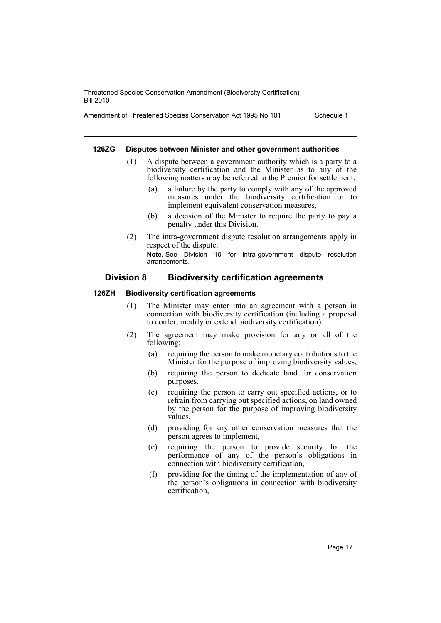Amendment of Threatened Species Conservation Act 1995 No 101 Schedule 1

#### **126ZG Disputes between Minister and other government authorities**

- (1) A dispute between a government authority which is a party to a biodiversity certification and the Minister as to any of the following matters may be referred to the Premier for settlement:
	- (a) a failure by the party to comply with any of the approved measures under the biodiversity certification or to implement equivalent conservation measures,
	- (b) a decision of the Minister to require the party to pay a penalty under this Division.
- (2) The intra-government dispute resolution arrangements apply in respect of the dispute. **Note.** See Division 10 for intra-government dispute resolution

arrangements.

# **Division 8 Biodiversity certification agreements**

#### **126ZH Biodiversity certification agreements**

- (1) The Minister may enter into an agreement with a person in connection with biodiversity certification (including a proposal to confer, modify or extend biodiversity certification).
- (2) The agreement may make provision for any or all of the following:
	- (a) requiring the person to make monetary contributions to the Minister for the purpose of improving biodiversity values,
	- (b) requiring the person to dedicate land for conservation purposes,
	- (c) requiring the person to carry out specified actions, or to refrain from carrying out specified actions, on land owned by the person for the purpose of improving biodiversity values,
	- (d) providing for any other conservation measures that the person agrees to implement,
	- (e) requiring the person to provide security for the performance of any of the person's obligations in connection with biodiversity certification,
	- (f) providing for the timing of the implementation of any of the person's obligations in connection with biodiversity certification,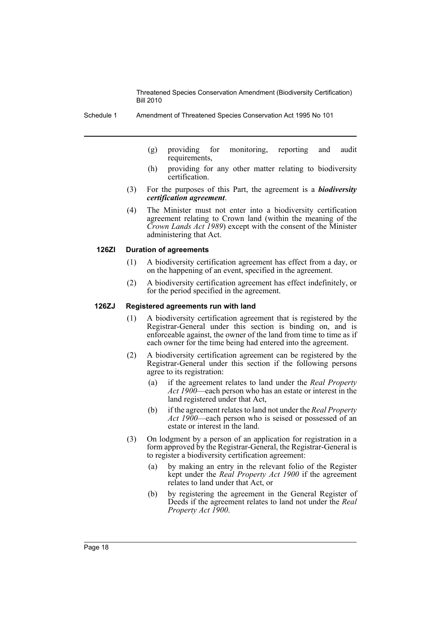- (g) providing for monitoring, reporting and audit requirements,
- (h) providing for any other matter relating to biodiversity certification.
- (3) For the purposes of this Part, the agreement is a *biodiversity certification agreement*.
- (4) The Minister must not enter into a biodiversity certification agreement relating to Crown land (within the meaning of the *Crown Lands Act 1989*) except with the consent of the Minister administering that Act.

#### **126ZI Duration of agreements**

- (1) A biodiversity certification agreement has effect from a day, or on the happening of an event, specified in the agreement.
- (2) A biodiversity certification agreement has effect indefinitely, or for the period specified in the agreement.

#### **126ZJ Registered agreements run with land**

- (1) A biodiversity certification agreement that is registered by the Registrar-General under this section is binding on, and is enforceable against, the owner of the land from time to time as if each owner for the time being had entered into the agreement.
- (2) A biodiversity certification agreement can be registered by the Registrar-General under this section if the following persons agree to its registration:
	- (a) if the agreement relates to land under the *Real Property Act 1900*—each person who has an estate or interest in the land registered under that Act,
	- (b) if the agreement relates to land not under the *Real Property Act 1900*—each person who is seised or possessed of an estate or interest in the land.
- (3) On lodgment by a person of an application for registration in a form approved by the Registrar-General, the Registrar-General is to register a biodiversity certification agreement:
	- (a) by making an entry in the relevant folio of the Register kept under the *Real Property Act 1900* if the agreement relates to land under that Act, or
	- (b) by registering the agreement in the General Register of Deeds if the agreement relates to land not under the *Real Property Act 1900*.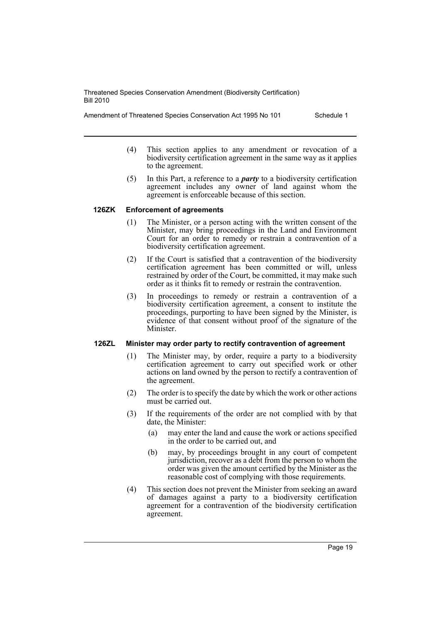Amendment of Threatened Species Conservation Act 1995 No 101 Schedule 1

- (4) This section applies to any amendment or revocation of a biodiversity certification agreement in the same way as it applies to the agreement.
- (5) In this Part, a reference to a *party* to a biodiversity certification agreement includes any owner of land against whom the agreement is enforceable because of this section.

# **126ZK Enforcement of agreements**

- (1) The Minister, or a person acting with the written consent of the Minister, may bring proceedings in the Land and Environment Court for an order to remedy or restrain a contravention of a biodiversity certification agreement.
- (2) If the Court is satisfied that a contravention of the biodiversity certification agreement has been committed or will, unless restrained by order of the Court, be committed, it may make such order as it thinks fit to remedy or restrain the contravention.
- (3) In proceedings to remedy or restrain a contravention of a biodiversity certification agreement, a consent to institute the proceedings, purporting to have been signed by the Minister, is evidence of that consent without proof of the signature of the Minister.

# **126ZL Minister may order party to rectify contravention of agreement**

- (1) The Minister may, by order, require a party to a biodiversity certification agreement to carry out specified work or other actions on land owned by the person to rectify a contravention of the agreement.
- (2) The order is to specify the date by which the work or other actions must be carried out.
- (3) If the requirements of the order are not complied with by that date, the Minister:
	- (a) may enter the land and cause the work or actions specified in the order to be carried out, and
	- (b) may, by proceedings brought in any court of competent jurisdiction, recover as a debt from the person to whom the order was given the amount certified by the Minister as the reasonable cost of complying with those requirements.
- (4) This section does not prevent the Minister from seeking an award of damages against a party to a biodiversity certification agreement for a contravention of the biodiversity certification agreement.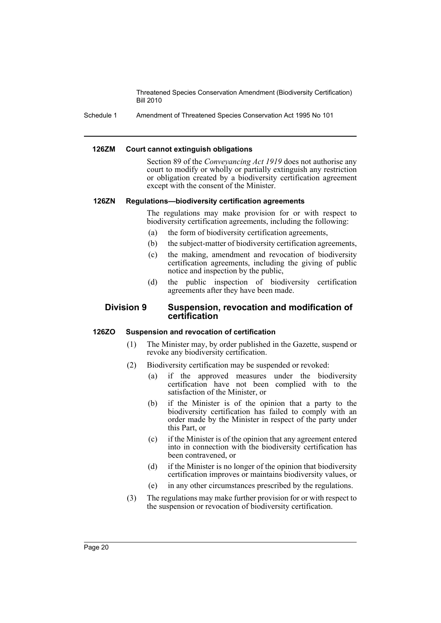Schedule 1 Amendment of Threatened Species Conservation Act 1995 No 101

#### **126ZM Court cannot extinguish obligations**

Section 89 of the *Conveyancing Act 1919* does not authorise any court to modify or wholly or partially extinguish any restriction or obligation created by a biodiversity certification agreement except with the consent of the Minister.

#### **126ZN Regulations—biodiversity certification agreements**

The regulations may make provision for or with respect to biodiversity certification agreements, including the following:

- (a) the form of biodiversity certification agreements,
- (b) the subject-matter of biodiversity certification agreements,
- (c) the making, amendment and revocation of biodiversity certification agreements, including the giving of public notice and inspection by the public,
- (d) the public inspection of biodiversity certification agreements after they have been made.

# **Division 9 Suspension, revocation and modification of certification**

#### **126ZO Suspension and revocation of certification**

- (1) The Minister may, by order published in the Gazette, suspend or revoke any biodiversity certification.
- (2) Biodiversity certification may be suspended or revoked:
	- (a) if the approved measures under the biodiversity certification have not been complied with to the satisfaction of the Minister, or
	- (b) if the Minister is of the opinion that a party to the biodiversity certification has failed to comply with an order made by the Minister in respect of the party under this Part, or
	- (c) if the Minister is of the opinion that any agreement entered into in connection with the biodiversity certification has been contravened, or
	- (d) if the Minister is no longer of the opinion that biodiversity certification improves or maintains biodiversity values, or
	- (e) in any other circumstances prescribed by the regulations.
- (3) The regulations may make further provision for or with respect to the suspension or revocation of biodiversity certification.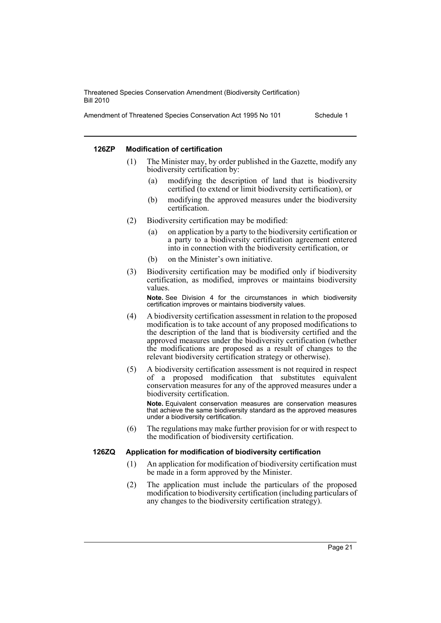#### **126ZP Modification of certification**

- (1) The Minister may, by order published in the Gazette, modify any biodiversity certification by:
	- (a) modifying the description of land that is biodiversity certified (to extend or limit biodiversity certification), or
	- (b) modifying the approved measures under the biodiversity certification.
- (2) Biodiversity certification may be modified:
	- (a) on application by a party to the biodiversity certification or a party to a biodiversity certification agreement entered into in connection with the biodiversity certification, or
	- (b) on the Minister's own initiative.
- (3) Biodiversity certification may be modified only if biodiversity certification, as modified, improves or maintains biodiversity values.

**Note.** See Division 4 for the circumstances in which biodiversity certification improves or maintains biodiversity values.

- (4) A biodiversity certification assessment in relation to the proposed modification is to take account of any proposed modifications to the description of the land that is biodiversity certified and the approved measures under the biodiversity certification (whether the modifications are proposed as a result of changes to the relevant biodiversity certification strategy or otherwise).
- (5) A biodiversity certification assessment is not required in respect of a proposed modification that substitutes equivalent conservation measures for any of the approved measures under a biodiversity certification. **Note.** Equivalent conservation measures are conservation measures

that achieve the same biodiversity standard as the approved measures under a biodiversity certification.

(6) The regulations may make further provision for or with respect to the modification of biodiversity certification.

#### **126ZQ Application for modification of biodiversity certification**

- (1) An application for modification of biodiversity certification must be made in a form approved by the Minister.
- (2) The application must include the particulars of the proposed modification to biodiversity certification (including particulars of any changes to the biodiversity certification strategy).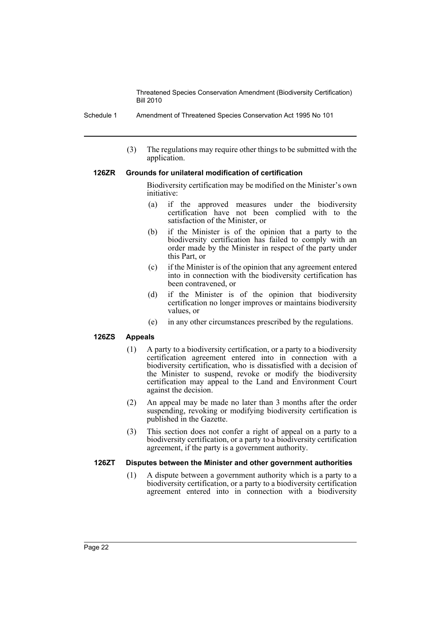Schedule 1 Amendment of Threatened Species Conservation Act 1995 No 101

(3) The regulations may require other things to be submitted with the application.

# **126ZR Grounds for unilateral modification of certification**

- Biodiversity certification may be modified on the Minister's own initiative:
- (a) if the approved measures under the biodiversity certification have not been complied with to the satisfaction of the Minister, or
- (b) if the Minister is of the opinion that a party to the biodiversity certification has failed to comply with an order made by the Minister in respect of the party under this Part, or
- (c) if the Minister is of the opinion that any agreement entered into in connection with the biodiversity certification has been contravened, or
- (d) if the Minister is of the opinion that biodiversity certification no longer improves or maintains biodiversity values, or
- (e) in any other circumstances prescribed by the regulations.

# **126ZS Appeals**

- (1) A party to a biodiversity certification, or a party to a biodiversity certification agreement entered into in connection with a biodiversity certification, who is dissatisfied with a decision of the Minister to suspend, revoke or modify the biodiversity certification may appeal to the Land and Environment Court against the decision.
- (2) An appeal may be made no later than 3 months after the order suspending, revoking or modifying biodiversity certification is published in the Gazette.
- (3) This section does not confer a right of appeal on a party to a biodiversity certification, or a party to a biodiversity certification agreement, if the party is a government authority.

#### **126ZT Disputes between the Minister and other government authorities**

(1) A dispute between a government authority which is a party to a biodiversity certification, or a party to a biodiversity certification agreement entered into in connection with a biodiversity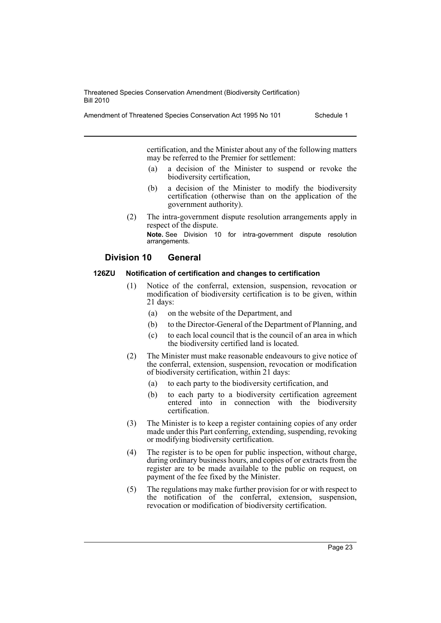certification, and the Minister about any of the following matters may be referred to the Premier for settlement:

- (a) a decision of the Minister to suspend or revoke the biodiversity certification,
- (b) a decision of the Minister to modify the biodiversity certification (otherwise than on the application of the government authority).
- (2) The intra-government dispute resolution arrangements apply in respect of the dispute. **Note.** See Division 10 for intra-government dispute resolution arrangements.

# **Division 10 General**

#### **126ZU Notification of certification and changes to certification**

- (1) Notice of the conferral, extension, suspension, revocation or modification of biodiversity certification is to be given, within 21 days:
	- (a) on the website of the Department, and
	- (b) to the Director-General of the Department of Planning, and
	- (c) to each local council that is the council of an area in which the biodiversity certified land is located.
- (2) The Minister must make reasonable endeavours to give notice of the conferral, extension, suspension, revocation or modification of biodiversity certification, within 21 days:
	- (a) to each party to the biodiversity certification, and
	- (b) to each party to a biodiversity certification agreement entered into in connection with the biodiversity certification.
- (3) The Minister is to keep a register containing copies of any order made under this Part conferring, extending, suspending, revoking or modifying biodiversity certification.
- (4) The register is to be open for public inspection, without charge, during ordinary business hours, and copies of or extracts from the register are to be made available to the public on request, on payment of the fee fixed by the Minister.
- (5) The regulations may make further provision for or with respect to the notification of the conferral, extension, suspension, revocation or modification of biodiversity certification.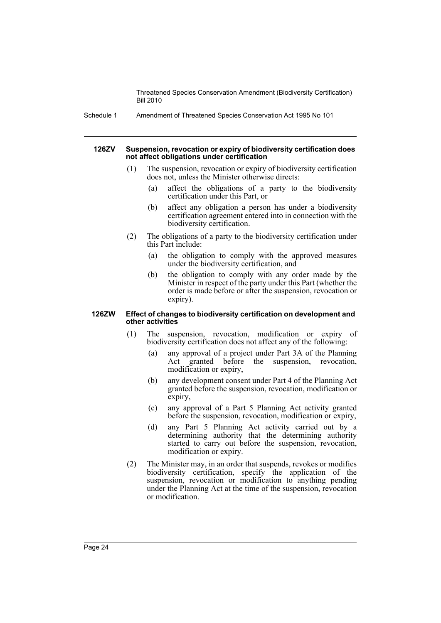Schedule 1 Amendment of Threatened Species Conservation Act 1995 No 101

#### **126ZV Suspension, revocation or expiry of biodiversity certification does not affect obligations under certification**

- (1) The suspension, revocation or expiry of biodiversity certification does not, unless the Minister otherwise directs:
	- (a) affect the obligations of a party to the biodiversity certification under this Part, or
	- (b) affect any obligation a person has under a biodiversity certification agreement entered into in connection with the biodiversity certification.
- (2) The obligations of a party to the biodiversity certification under this Part include:
	- (a) the obligation to comply with the approved measures under the biodiversity certification, and
	- (b) the obligation to comply with any order made by the Minister in respect of the party under this Part (whether the order is made before or after the suspension, revocation or expiry).

#### **126ZW Effect of changes to biodiversity certification on development and other activities**

- (1) The suspension, revocation, modification or expiry of biodiversity certification does not affect any of the following:
	- (a) any approval of a project under Part 3A of the Planning Act granted before the suspension, revocation, modification or expiry,
	- (b) any development consent under Part 4 of the Planning Act granted before the suspension, revocation, modification or expiry,
	- (c) any approval of a Part 5 Planning Act activity granted before the suspension, revocation, modification or expiry,
	- (d) any Part 5 Planning Act activity carried out by a determining authority that the determining authority started to carry out before the suspension, revocation, modification or expiry.
- (2) The Minister may, in an order that suspends, revokes or modifies biodiversity certification, specify the application of the suspension, revocation or modification to anything pending under the Planning Act at the time of the suspension, revocation or modification.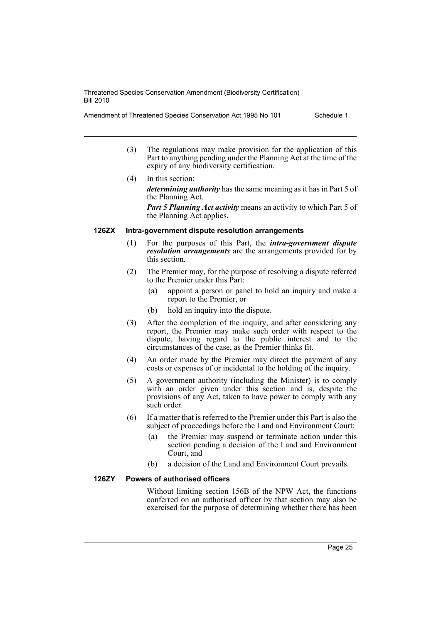Amendment of Threatened Species Conservation Act 1995 No 101 Schedule 1

- (3) The regulations may make provision for the application of this Part to anything pending under the Planning Act at the time of the expiry of any biodiversity certification.
- (4) In this section: *determining authority* has the same meaning as it has in Part 5 of the Planning Act.

*Part 5 Planning Act activity* means an activity to which Part 5 of the Planning Act applies.

# **126ZX Intra-government dispute resolution arrangements**

- (1) For the purposes of this Part, the *intra-government dispute resolution arrangements* are the arrangements provided for by this section.
- (2) The Premier may, for the purpose of resolving a dispute referred to the Premier under this Part:
	- (a) appoint a person or panel to hold an inquiry and make a report to the Premier, or
	- (b) hold an inquiry into the dispute.
- (3) After the completion of the inquiry, and after considering any report, the Premier may make such order with respect to the dispute, having regard to the public interest and to the circumstances of the case, as the Premier thinks fit.
- (4) An order made by the Premier may direct the payment of any costs or expenses of or incidental to the holding of the inquiry.
- (5) A government authority (including the Minister) is to comply with an order given under this section and is, despite the provisions of any Act, taken to have power to comply with any such order.
- (6) If a matter that is referred to the Premier under this Part is also the subject of proceedings before the Land and Environment Court:
	- (a) the Premier may suspend or terminate action under this section pending a decision of the Land and Environment Court, and
	- (b) a decision of the Land and Environment Court prevails.

# **126ZY Powers of authorised officers**

Without limiting section 156B of the NPW Act, the functions conferred on an authorised officer by that section may also be exercised for the purpose of determining whether there has been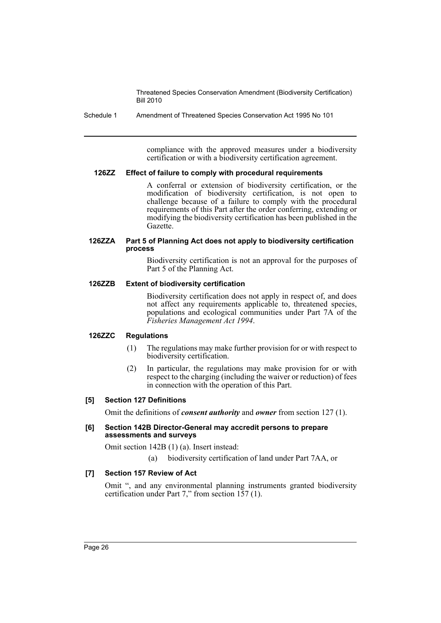Schedule 1 Amendment of Threatened Species Conservation Act 1995 No 101

compliance with the approved measures under a biodiversity certification or with a biodiversity certification agreement.

# **126ZZ Effect of failure to comply with procedural requirements**

A conferral or extension of biodiversity certification, or the modification of biodiversity certification, is not open to challenge because of a failure to comply with the procedural requirements of this Part after the order conferring, extending or modifying the biodiversity certification has been published in the Gazette.

#### **126ZZA Part 5 of Planning Act does not apply to biodiversity certification process**

Biodiversity certification is not an approval for the purposes of Part 5 of the Planning Act.

# **126ZZB Extent of biodiversity certification**

Biodiversity certification does not apply in respect of, and does not affect any requirements applicable to, threatened species, populations and ecological communities under Part 7A of the *Fisheries Management Act 1994*.

# **126ZZC Regulations**

- (1) The regulations may make further provision for or with respect to biodiversity certification.
- (2) In particular, the regulations may make provision for or with respect to the charging (including the waiver or reduction) of fees in connection with the operation of this Part.

# **[5] Section 127 Definitions**

Omit the definitions of *consent authority* and *owner* from section 127 (1).

# **[6] Section 142B Director-General may accredit persons to prepare assessments and surveys**

Omit section 142B (1) (a). Insert instead:

(a) biodiversity certification of land under Part 7AA, or

# **[7] Section 157 Review of Act**

Omit ", and any environmental planning instruments granted biodiversity certification under Part 7," from section 157 (1).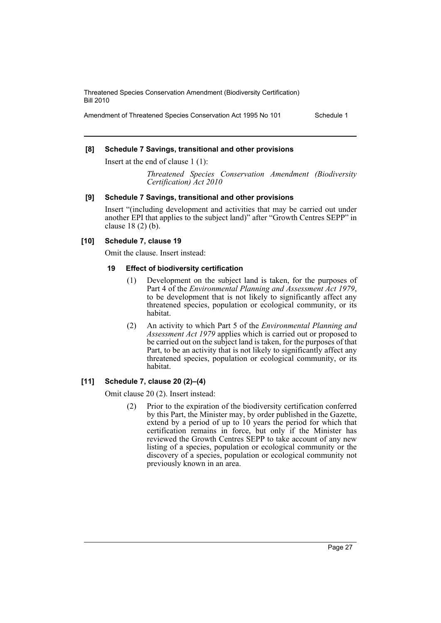Amendment of Threatened Species Conservation Act 1995 No 101 Schedule 1

# **[8] Schedule 7 Savings, transitional and other provisions**

Insert at the end of clause 1 (1):

*Threatened Species Conservation Amendment (Biodiversity Certification) Act 2010*

# **[9] Schedule 7 Savings, transitional and other provisions**

Insert "(including development and activities that may be carried out under another EPI that applies to the subject land)" after "Growth Centres SEPP" in clause 18 (2) (b).

# **[10] Schedule 7, clause 19**

Omit the clause. Insert instead:

# **19 Effect of biodiversity certification**

- (1) Development on the subject land is taken, for the purposes of Part 4 of the *Environmental Planning and Assessment Act 1979*, to be development that is not likely to significantly affect any threatened species, population or ecological community, or its habitat.
- (2) An activity to which Part 5 of the *Environmental Planning and Assessment Act 1979* applies which is carried out or proposed to be carried out on the subject land is taken, for the purposes of that Part, to be an activity that is not likely to significantly affect any threatened species, population or ecological community, or its habitat.

# **[11] Schedule 7, clause 20 (2)–(4)**

Omit clause 20 (2). Insert instead:

(2) Prior to the expiration of the biodiversity certification conferred by this Part, the Minister may, by order published in the Gazette, extend by a period of up to 10 years the period for which that certification remains in force, but only if the Minister has reviewed the Growth Centres SEPP to take account of any new listing of a species, population or ecological community or the discovery of a species, population or ecological community not previously known in an area.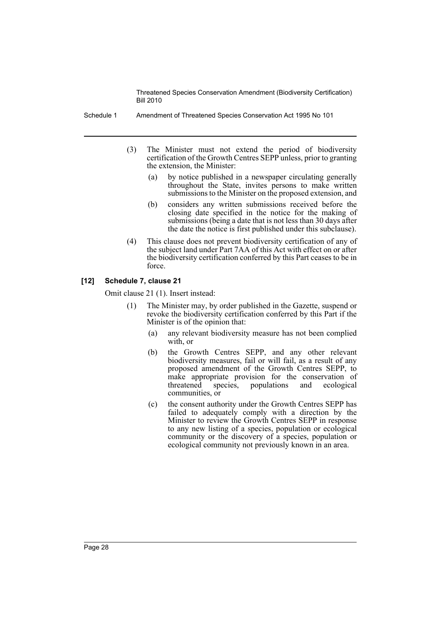Schedule 1 Amendment of Threatened Species Conservation Act 1995 No 101

- (3) The Minister must not extend the period of biodiversity certification of the Growth Centres SEPP unless, prior to granting the extension, the Minister:
	- (a) by notice published in a newspaper circulating generally throughout the State, invites persons to make written submissions to the Minister on the proposed extension, and
	- (b) considers any written submissions received before the closing date specified in the notice for the making of submissions (being a date that is not less than 30 days after the date the notice is first published under this subclause).
- (4) This clause does not prevent biodiversity certification of any of the subject land under Part 7AA of this Act with effect on or after the biodiversity certification conferred by this Part ceases to be in force.

# **[12] Schedule 7, clause 21**

Omit clause 21 (1). Insert instead:

- (1) The Minister may, by order published in the Gazette, suspend or revoke the biodiversity certification conferred by this Part if the Minister is of the opinion that:
	- (a) any relevant biodiversity measure has not been complied with, or
	- (b) the Growth Centres SEPP, and any other relevant biodiversity measures, fail or will fail, as a result of any proposed amendment of the Growth Centres SEPP, to make appropriate provision for the conservation of threatened species, populations and ecological species, populations and ecological communities, or
	- (c) the consent authority under the Growth Centres SEPP has failed to adequately comply with a direction by the Minister to review the Growth Centres SEPP in response to any new listing of a species, population or ecological community or the discovery of a species, population or ecological community not previously known in an area.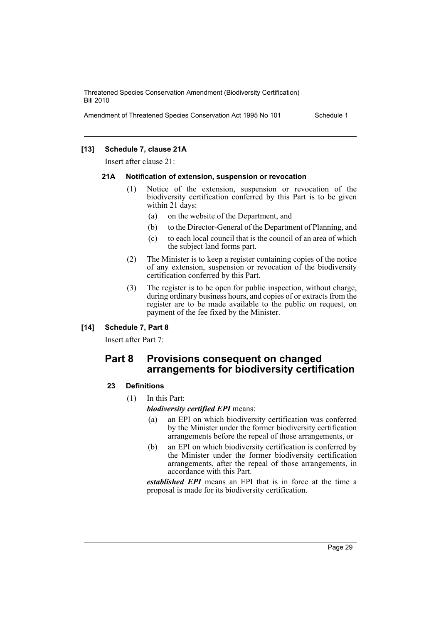Amendment of Threatened Species Conservation Act 1995 No 101 Schedule 1

# **[13] Schedule 7, clause 21A**

Insert after clause 21:

# **21A Notification of extension, suspension or revocation**

- (1) Notice of the extension, suspension or revocation of the biodiversity certification conferred by this Part is to be given within 21 days:
	- (a) on the website of the Department, and
	- (b) to the Director-General of the Department of Planning, and
	- (c) to each local council that is the council of an area of which the subject land forms part.
- (2) The Minister is to keep a register containing copies of the notice of any extension, suspension or revocation of the biodiversity certification conferred by this Part.
- (3) The register is to be open for public inspection, without charge, during ordinary business hours, and copies of or extracts from the register are to be made available to the public on request, on payment of the fee fixed by the Minister.

# **[14] Schedule 7, Part 8**

Insert after Part 7:

# **Part 8 Provisions consequent on changed arrangements for biodiversity certification**

# **23 Definitions**

(1) In this Part:

*biodiversity certified EPI* means:

- (a) an EPI on which biodiversity certification was conferred by the Minister under the former biodiversity certification arrangements before the repeal of those arrangements, or
- (b) an EPI on which biodiversity certification is conferred by the Minister under the former biodiversity certification arrangements, after the repeal of those arrangements, in accordance with this Part.

*established EPI* means an EPI that is in force at the time a proposal is made for its biodiversity certification.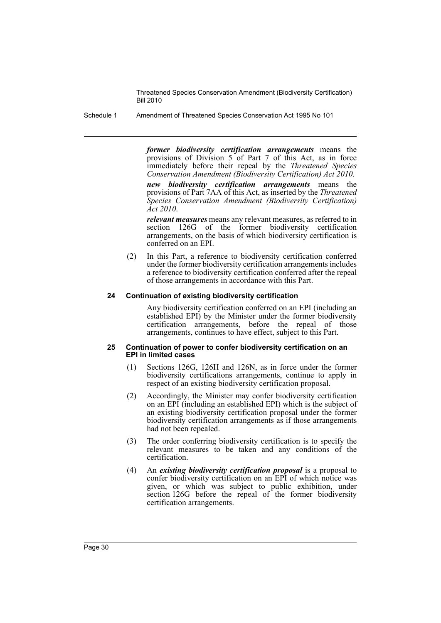Schedule 1 Amendment of Threatened Species Conservation Act 1995 No 101

*former biodiversity certification arrangements* means the provisions of Division 5 of Part 7 of this Act, as in force immediately before their repeal by the *Threatened Species Conservation Amendment (Biodiversity Certification) Act 2010*.

*new biodiversity certification arrangements* means the provisions of Part 7AA of this Act, as inserted by the *Threatened Species Conservation Amendment (Biodiversity Certification) Act 2010*.

*relevant measures* means any relevant measures, as referred to in section 126G of the former biodiversity certification arrangements, on the basis of which biodiversity certification is conferred on an EPI.

(2) In this Part, a reference to biodiversity certification conferred under the former biodiversity certification arrangements includes a reference to biodiversity certification conferred after the repeal of those arrangements in accordance with this Part.

# **24 Continuation of existing biodiversity certification**

Any biodiversity certification conferred on an EPI (including an established EPI) by the Minister under the former biodiversity certification arrangements, before the repeal of those arrangements, continues to have effect, subject to this Part.

#### **25 Continuation of power to confer biodiversity certification on an EPI in limited cases**

- (1) Sections 126G, 126H and 126N, as in force under the former biodiversity certifications arrangements, continue to apply in respect of an existing biodiversity certification proposal.
- (2) Accordingly, the Minister may confer biodiversity certification on an EPI (including an established EPI) which is the subject of an existing biodiversity certification proposal under the former biodiversity certification arrangements as if those arrangements had not been repealed.
- (3) The order conferring biodiversity certification is to specify the relevant measures to be taken and any conditions of the certification.
- (4) An *existing biodiversity certification proposal* is a proposal to confer biodiversity certification on an EPI of which notice was given, or which was subject to public exhibition, under section 126G before the repeal of the former biodiversity certification arrangements.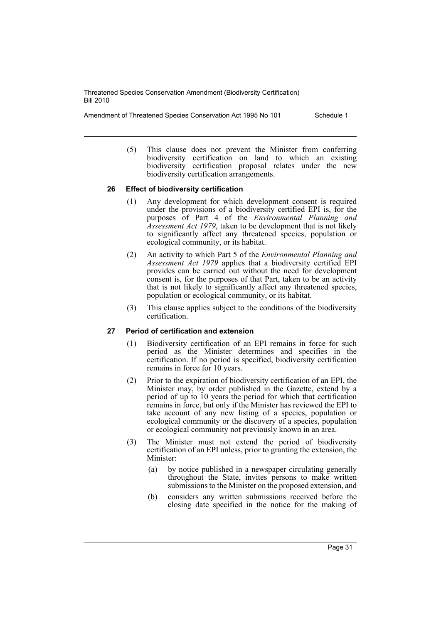Amendment of Threatened Species Conservation Act 1995 No 101 Schedule 1

(5) This clause does not prevent the Minister from conferring biodiversity certification on land to which an existing biodiversity certification proposal relates under the new biodiversity certification arrangements.

# **26 Effect of biodiversity certification**

- (1) Any development for which development consent is required under the provisions of a biodiversity certified EPI is, for the purposes of Part 4 of the *Environmental Planning and Assessment Act 1979*, taken to be development that is not likely to significantly affect any threatened species, population or ecological community, or its habitat.
- (2) An activity to which Part 5 of the *Environmental Planning and Assessment Act 1979* applies that a biodiversity certified EPI provides can be carried out without the need for development consent is, for the purposes of that Part, taken to be an activity that is not likely to significantly affect any threatened species, population or ecological community, or its habitat.
- (3) This clause applies subject to the conditions of the biodiversity certification.

#### **27 Period of certification and extension**

- (1) Biodiversity certification of an EPI remains in force for such period as the Minister determines and specifies in the certification. If no period is specified, biodiversity certification remains in force for 10 years.
- (2) Prior to the expiration of biodiversity certification of an EPI, the Minister may, by order published in the Gazette, extend by a period of up to 10 years the period for which that certification remains in force, but only if the Minister has reviewed the EPI to take account of any new listing of a species, population or ecological community or the discovery of a species, population or ecological community not previously known in an area.
- (3) The Minister must not extend the period of biodiversity certification of an EPI unless, prior to granting the extension, the Minister:
	- (a) by notice published in a newspaper circulating generally throughout the State, invites persons to make written submissions to the Minister on the proposed extension, and
	- (b) considers any written submissions received before the closing date specified in the notice for the making of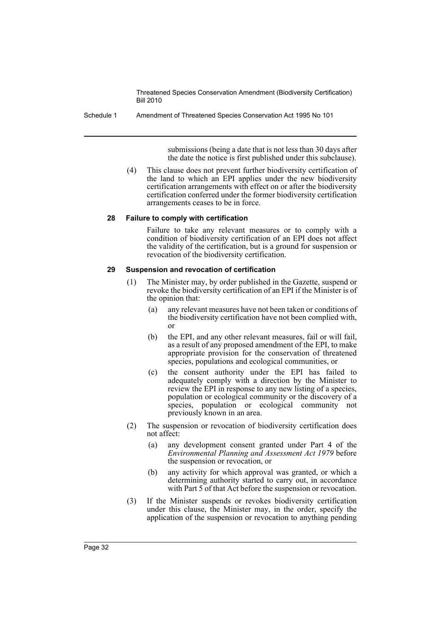Schedule 1 Amendment of Threatened Species Conservation Act 1995 No 101

submissions (being a date that is not less than 30 days after the date the notice is first published under this subclause).

(4) This clause does not prevent further biodiversity certification of the land to which an EPI applies under the new biodiversity certification arrangements with effect on or after the biodiversity certification conferred under the former biodiversity certification arrangements ceases to be in force.

#### **28 Failure to comply with certification**

Failure to take any relevant measures or to comply with a condition of biodiversity certification of an EPI does not affect the validity of the certification, but is a ground for suspension or revocation of the biodiversity certification.

# **29 Suspension and revocation of certification**

- (1) The Minister may, by order published in the Gazette, suspend or revoke the biodiversity certification of an EPI if the Minister is of the opinion that:
	- (a) any relevant measures have not been taken or conditions of the biodiversity certification have not been complied with, or
	- (b) the EPI, and any other relevant measures, fail or will fail, as a result of any proposed amendment of the EPI, to make appropriate provision for the conservation of threatened species, populations and ecological communities, or
	- (c) the consent authority under the EPI has failed to adequately comply with a direction by the Minister to review the EPI in response to any new listing of a species, population or ecological community or the discovery of a species, population or ecological community not previously known in an area.
- (2) The suspension or revocation of biodiversity certification does not affect:
	- (a) any development consent granted under Part 4 of the *Environmental Planning and Assessment Act 1979* before the suspension or revocation, or
	- (b) any activity for which approval was granted, or which a determining authority started to carry out, in accordance with Part 5 of that Act before the suspension or revocation.
- (3) If the Minister suspends or revokes biodiversity certification under this clause, the Minister may, in the order, specify the application of the suspension or revocation to anything pending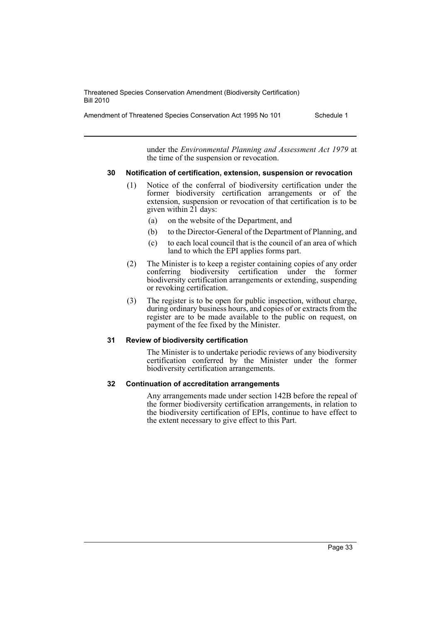Amendment of Threatened Species Conservation Act 1995 No 101 Schedule 1

under the *Environmental Planning and Assessment Act 1979* at the time of the suspension or revocation.

# **30 Notification of certification, extension, suspension or revocation**

- (1) Notice of the conferral of biodiversity certification under the former biodiversity certification arrangements or of the extension, suspension or revocation of that certification is to be given within 21 days:
	- (a) on the website of the Department, and
	- (b) to the Director-General of the Department of Planning, and
	- (c) to each local council that is the council of an area of which land to which the EPI applies forms part.
- (2) The Minister is to keep a register containing copies of any order conferring biodiversity certification under the former biodiversity certification arrangements or extending, suspending or revoking certification.
- (3) The register is to be open for public inspection, without charge, during ordinary business hours, and copies of or extracts from the register are to be made available to the public on request, on payment of the fee fixed by the Minister.

#### **31 Review of biodiversity certification**

The Minister is to undertake periodic reviews of any biodiversity certification conferred by the Minister under the former biodiversity certification arrangements.

#### **32 Continuation of accreditation arrangements**

Any arrangements made under section 142B before the repeal of the former biodiversity certification arrangements, in relation to the biodiversity certification of EPIs, continue to have effect to the extent necessary to give effect to this Part.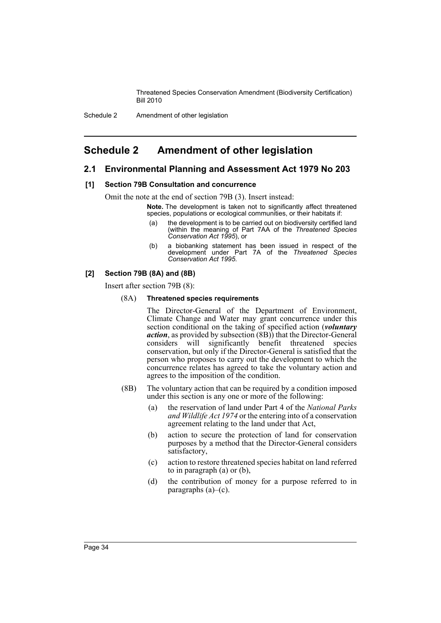# <span id="page-34-0"></span>**Schedule 2 Amendment of other legislation**

# **2.1 Environmental Planning and Assessment Act 1979 No 203**

# **[1] Section 79B Consultation and concurrence**

Omit the note at the end of section 79B (3). Insert instead:

**Note.** The development is taken not to significantly affect threatened species, populations or ecological communities, or their habitats if:

- (a) the development is to be carried out on biodiversity certified land (within the meaning of Part 7AA of the *Threatened Species Conservation Act 1995*), or
- (b) a biobanking statement has been issued in respect of the development under Part 7A of the *Threatened Species Conservation Act 1995*.

# **[2] Section 79B (8A) and (8B)**

Insert after section 79B (8):

#### (8A) **Threatened species requirements**

The Director-General of the Department of Environment, Climate Change and Water may grant concurrence under this section conditional on the taking of specified action (*voluntary action*, as provided by subsection (8B)) that the Director-General considers will significantly benefit threatened species conservation, but only if the Director-General is satisfied that the person who proposes to carry out the development to which the concurrence relates has agreed to take the voluntary action and agrees to the imposition of the condition.

- (8B) The voluntary action that can be required by a condition imposed under this section is any one or more of the following:
	- (a) the reservation of land under Part 4 of the *National Parks and Wildlife Act 1974* or the entering into of a conservation agreement relating to the land under that Act,
	- (b) action to secure the protection of land for conservation purposes by a method that the Director-General considers satisfactory,
	- (c) action to restore threatened species habitat on land referred to in paragraph (a) or (b),
	- (d) the contribution of money for a purpose referred to in paragraphs  $(a)$ – $(c)$ .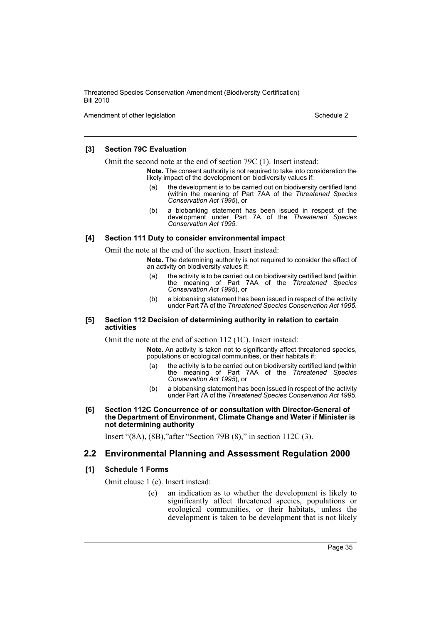Amendment of other legislation Schedule 2

### **[3] Section 79C Evaluation**

Omit the second note at the end of section 79C (1). Insert instead:

**Note.** The consent authority is not required to take into consideration the likely impact of the development on biodiversity values if:

- (a) the development is to be carried out on biodiversity certified land (within the meaning of Part 7AA of the *Threatened Species Conservation Act 1995*), or
- (b) a biobanking statement has been issued in respect of the development under Part 7A of the *Threatened Species Conservation Act 1995*.

#### **[4] Section 111 Duty to consider environmental impact**

Omit the note at the end of the section. Insert instead:

**Note.** The determining authority is not required to consider the effect of an activity on biodiversity values if:

- (a) the activity is to be carried out on biodiversity certified land (within the meaning of Part 7AA of the *Threatened Species Conservation Act 1995*), or
- (b) a biobanking statement has been issued in respect of the activity under Part 7A of the *Threatened Species Conservation Act 1995*.

#### **[5] Section 112 Decision of determining authority in relation to certain activities**

Omit the note at the end of section 112 (1C). Insert instead:

**Note.** An activity is taken not to significantly affect threatened species, populations or ecological communities, or their habitats if:

- (a) the activity is to be carried out on biodiversity certified land (within the meaning of Part 7AA of the *Threatened Species Conservation Act 1995*), or
- (b) a biobanking statement has been issued in respect of the activity under Part 7A of the *Threatened Species Conservation Act 1995*.

#### **[6] Section 112C Concurrence of or consultation with Director-General of the Department of Environment, Climate Change and Water if Minister is not determining authority**

Insert "(8A), (8B),"after "Section 79B (8)," in section 112C (3).

# **2.2 Environmental Planning and Assessment Regulation 2000**

#### **[1] Schedule 1 Forms**

Omit clause 1 (e). Insert instead:

(e) an indication as to whether the development is likely to significantly affect threatened species, populations or ecological communities, or their habitats, unless the development is taken to be development that is not likely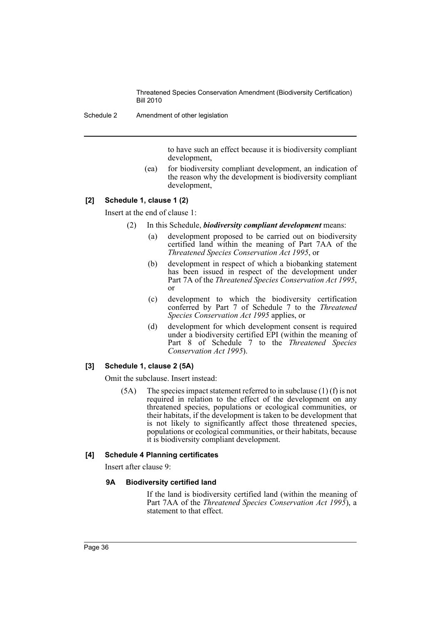Schedule 2 Amendment of other legislation

to have such an effect because it is biodiversity compliant development,

(ea) for biodiversity compliant development, an indication of the reason why the development is biodiversity compliant development,

# **[2] Schedule 1, clause 1 (2)**

Insert at the end of clause 1:

- (2) In this Schedule, *biodiversity compliant development* means:
	- (a) development proposed to be carried out on biodiversity certified land within the meaning of Part 7AA of the *Threatened Species Conservation Act 1995*, or
	- (b) development in respect of which a biobanking statement has been issued in respect of the development under Part 7A of the *Threatened Species Conservation Act 1995*, or
	- (c) development to which the biodiversity certification conferred by Part 7 of Schedule 7 to the *Threatened Species Conservation Act 1995* applies, or
	- (d) development for which development consent is required under a biodiversity certified EPI (within the meaning of Part 8 of Schedule 7 to the *Threatened Species Conservation Act 1995*).

#### **[3] Schedule 1, clause 2 (5A)**

Omit the subclause. Insert instead:

 $(5A)$  The species impact statement referred to in subclause  $(1)$  (f) is not required in relation to the effect of the development on any threatened species, populations or ecological communities, or their habitats, if the development is taken to be development that is not likely to significantly affect those threatened species, populations or ecological communities, or their habitats, because it is biodiversity compliant development.

# **[4] Schedule 4 Planning certificates**

Insert after clause 9:

# **9A Biodiversity certified land**

If the land is biodiversity certified land (within the meaning of Part 7AA of the *Threatened Species Conservation Act 1995*), a statement to that effect.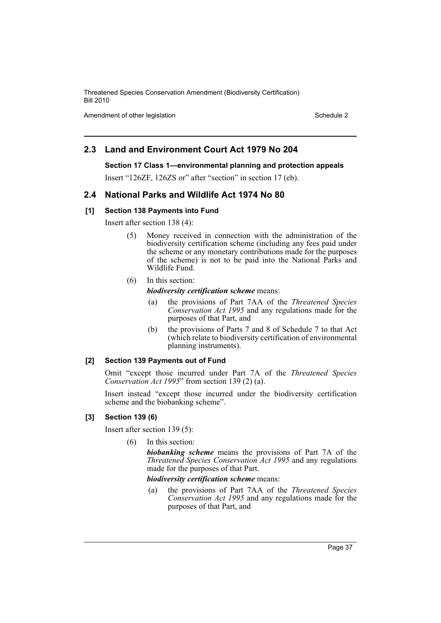Amendment of other legislation Schedule 2

# **2.3 Land and Environment Court Act 1979 No 204**

#### **Section 17 Class 1—environmental planning and protection appeals**

Insert "126ZF, 126ZS or" after "section" in section 17 (eb).

# **2.4 National Parks and Wildlife Act 1974 No 80**

# **[1] Section 138 Payments into Fund**

Insert after section 138 (4):

(5) Money received in connection with the administration of the biodiversity certification scheme (including any fees paid under the scheme or any monetary contributions made for the purposes of the scheme) is not to be paid into the National Parks and Wildlife Fund.

# (6) In this section:

#### *biodiversity certification scheme* means:

- (a) the provisions of Part 7AA of the *Threatened Species Conservation Act 1995* and any regulations made for the purposes of that Part, and
- (b) the provisions of Parts 7 and 8 of Schedule 7 to that Act (which relate to biodiversity certification of environmental planning instruments).

#### **[2] Section 139 Payments out of Fund**

Omit "except those incurred under Part 7A of the *Threatened Species Conservation Act 1995*" from section 139 (2) (a).

Insert instead "except those incurred under the biodiversity certification scheme and the biobanking scheme".

# **[3] Section 139 (6)**

Insert after section 139 (5):

(6) In this section:

*biobanking scheme* means the provisions of Part 7A of the *Threatened Species Conservation Act 1995* and any regulations made for the purposes of that Part.

#### *biodiversity certification scheme* means:

(a) the provisions of Part 7AA of the *Threatened Species Conservation Act 1995* and any regulations made for the purposes of that Part, and